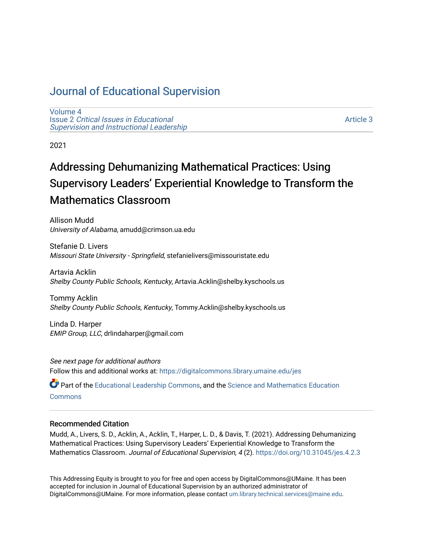# [Journal of Educational Supervision](https://digitalcommons.library.umaine.edu/jes)

[Volume 4](https://digitalcommons.library.umaine.edu/jes/vol4) Issue 2 [Critical Issues in Educational](https://digitalcommons.library.umaine.edu/jes/vol4/iss2) [Supervision and Instructional Leadership](https://digitalcommons.library.umaine.edu/jes/vol4/iss2) 

[Article 3](https://digitalcommons.library.umaine.edu/jes/vol4/iss2/3) 

2021

# Addressing Dehumanizing Mathematical Practices: Using Supervisory Leaders' Experiential Knowledge to Transform the Mathematics Classroom

Allison Mudd University of Alabama, amudd@crimson.ua.edu

Stefanie D. Livers Missouri State University - Springfield, stefanielivers@missouristate.edu

Artavia Acklin Shelby County Public Schools, Kentucky, Artavia.Acklin@shelby.kyschools.us

Tommy Acklin Shelby County Public Schools, Kentucky, Tommy.Acklin@shelby.kyschools.us

Linda D. Harper EMIP Group, LLC, drlindaharper@gmail.com

See next page for additional authors Follow this and additional works at: [https://digitalcommons.library.umaine.edu/jes](https://digitalcommons.library.umaine.edu/jes?utm_source=digitalcommons.library.umaine.edu%2Fjes%2Fvol4%2Fiss2%2F3&utm_medium=PDF&utm_campaign=PDFCoverPages)

Part of the [Educational Leadership Commons,](http://network.bepress.com/hgg/discipline/1230?utm_source=digitalcommons.library.umaine.edu%2Fjes%2Fvol4%2Fiss2%2F3&utm_medium=PDF&utm_campaign=PDFCoverPages) and the [Science and Mathematics Education](http://network.bepress.com/hgg/discipline/800?utm_source=digitalcommons.library.umaine.edu%2Fjes%2Fvol4%2Fiss2%2F3&utm_medium=PDF&utm_campaign=PDFCoverPages)  **[Commons](http://network.bepress.com/hgg/discipline/800?utm_source=digitalcommons.library.umaine.edu%2Fjes%2Fvol4%2Fiss2%2F3&utm_medium=PDF&utm_campaign=PDFCoverPages)** 

#### Recommended Citation

Mudd, A., Livers, S. D., Acklin, A., Acklin, T., Harper, L. D., & Davis, T. (2021). Addressing Dehumanizing Mathematical Practices: Using Supervisory Leaders' Experiential Knowledge to Transform the Mathematics Classroom. Journal of Educational Supervision, 4 (2). <https://doi.org/10.31045/jes.4.2.3>

This Addressing Equity is brought to you for free and open access by DigitalCommons@UMaine. It has been accepted for inclusion in Journal of Educational Supervision by an authorized administrator of DigitalCommons@UMaine. For more information, please contact [um.library.technical.services@maine.edu](mailto:um.library.technical.services@maine.edu).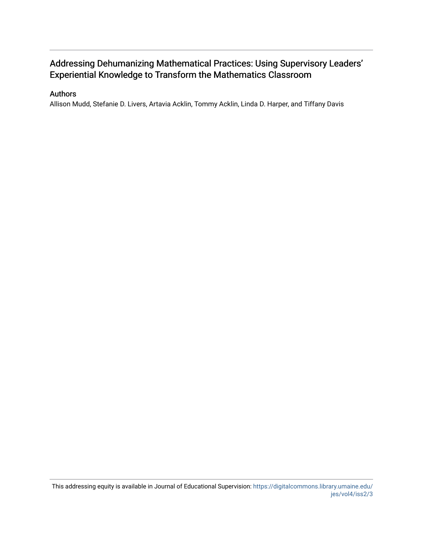# Addressing Dehumanizing Mathematical Practices: Using Supervisory Leaders' Experiential Knowledge to Transform the Mathematics Classroom

#### Authors

Allison Mudd, Stefanie D. Livers, Artavia Acklin, Tommy Acklin, Linda D. Harper, and Tiffany Davis

This addressing equity is available in Journal of Educational Supervision: [https://digitalcommons.library.umaine.edu/](https://digitalcommons.library.umaine.edu/jes/vol4/iss2/3) [jes/vol4/iss2/3](https://digitalcommons.library.umaine.edu/jes/vol4/iss2/3)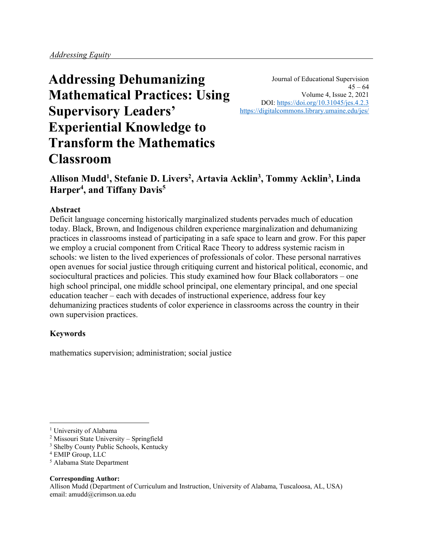**Addressing Dehumanizing Mathematical Practices: Using Supervisory Leaders' Experiential Knowledge to Transform the Mathematics Classroom**

Journal of Educational Supervision  $45 - 64$ Volume 4, Issue 2, 2021 DOI:<https://doi.org/10.31045/jes.4.2.3> <https://digitalcommons.library.umaine.edu/jes/>

# **Allison Mudd<sup>1</sup> , Stefanie D. Livers<sup>2</sup> , Artavia Acklin<sup>3</sup> , Tommy Acklin<sup>3</sup> , Linda Harper<sup>4</sup> , and Tiffany Davis<sup>5</sup>**

#### **Abstract**

Deficit language concerning historically marginalized students pervades much of education today. Black, Brown, and Indigenous children experience marginalization and dehumanizing practices in classrooms instead of participating in a safe space to learn and grow. For this paper we employ a crucial component from Critical Race Theory to address systemic racism in schools: we listen to the lived experiences of professionals of color. These personal narratives open avenues for social justice through critiquing current and historical political, economic, and sociocultural practices and policies. This study examined how four Black collaborators – one high school principal, one middle school principal, one elementary principal, and one special education teacher – each with decades of instructional experience, address four key dehumanizing practices students of color experience in classrooms across the country in their own supervision practices.

#### **Keywords**

mathematics supervision; administration; social justice

<sup>5</sup> Alabama State Department

#### **Corresponding Author:**

<sup>&</sup>lt;sup>1</sup> University of Alabama

<sup>2</sup> Missouri State University – Springfield

<sup>&</sup>lt;sup>3</sup> Shelby County Public Schools, Kentucky

<sup>4</sup> EMIP Group, LLC

Allison Mudd (Department of Curriculum and Instruction, University of Alabama, Tuscaloosa, AL, USA) email: amudd@crimson.ua.edu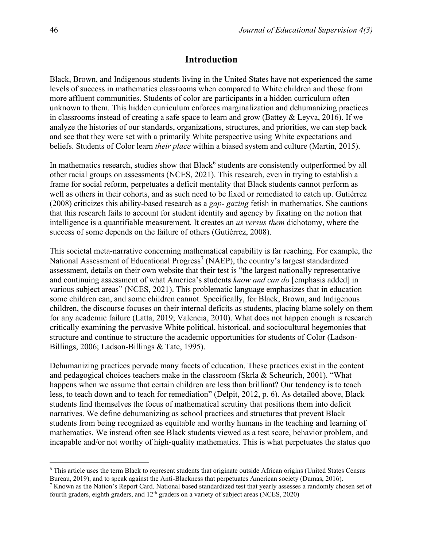#### **Introduction**

Black, Brown, and Indigenous students living in the United States have not experienced the same levels of success in mathematics classrooms when compared to White children and those from more affluent communities. Students of color are participants in a hidden curriculum often unknown to them. This hidden curriculum enforces marginalization and dehumanizing practices in classrooms instead of creating a safe space to learn and grow (Battey & Leyva, 2016). If we analyze the histories of our standards, organizations, structures, and priorities, we can step back and see that they were set with a primarily White perspective using White expectations and beliefs. Students of Color learn *their place* within a biased system and culture (Martin, 2015).

In mathematics research, studies show that Black<sup>6</sup> students are consistently outperformed by all other racial groups on assessments (NCES, 2021). This research, even in trying to establish a frame for social reform, perpetuates a deficit mentality that Black students cannot perform as well as others in their cohorts, and as such need to be fixed or remediated to catch up. Gutiérrez (2008) criticizes this ability-based research as a *gap- gazing* fetish in mathematics. She cautions that this research fails to account for student identity and agency by fixating on the notion that intelligence is a quantifiable measurement. It creates an *us versus them* dichotomy, where the success of some depends on the failure of others (Gutiérrez, 2008).

This societal meta-narrative concerning mathematical capability is far reaching. For example, the National Assessment of Educational Progress<sup>7</sup> (NAEP), the country's largest standardized assessment, details on their own website that their test is "the largest nationally representative and continuing assessment of what America's students *know and can do* [emphasis added] in various subject areas" (NCES, 2021). This problematic language emphasizes that in education some children can, and some children cannot. Specifically, for Black, Brown, and Indigenous children, the discourse focuses on their internal deficits as students, placing blame solely on them for any academic failure (Latta, 2019; Valencia, 2010). What does not happen enough is research critically examining the pervasive White political, historical, and sociocultural hegemonies that structure and continue to structure the academic opportunities for students of Color (Ladson-Billings, 2006; Ladson-Billings & Tate, 1995).

Dehumanizing practices pervade many facets of education. These practices exist in the content and pedagogical choices teachers make in the classroom (Skrla & Scheurich, 2001). "What happens when we assume that certain children are less than brilliant? Our tendency is to teach less, to teach down and to teach for remediation" (Delpit, 2012, p. 6). As detailed above, Black students find themselves the focus of mathematical scrutiny that positions them into deficit narratives. We define dehumanizing as school practices and structures that prevent Black students from being recognized as equitable and worthy humans in the teaching and learning of mathematics. We instead often see Black students viewed as a test score, behavior problem, and incapable and/or not worthy of high-quality mathematics. This is what perpetuates the status quo

<sup>6</sup> This article uses the term Black to represent students that originate outside African origins (United States Census Bureau, 2019), and to speak against the Anti-Blackness that perpetuates American society (Dumas, 2016).

 $7$  Known as the Nation's Report Card. National based standardized test that yearly assesses a randomly chosen set of fourth graders, eighth graders, and  $12<sup>th</sup>$  graders on a variety of subject areas (NCES, 2020)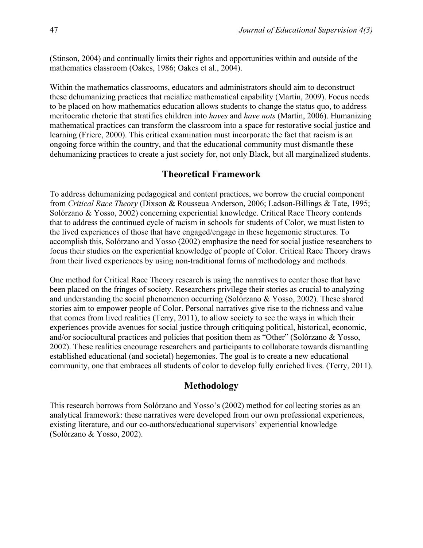(Stinson, 2004) and continually limits their rights and opportunities within and outside of the mathematics classroom (Oakes, 1986; Oakes et al., 2004).

Within the mathematics classrooms, educators and administrators should aim to deconstruct these dehumanizing practices that racialize mathematical capability (Martin, 2009). Focus needs to be placed on how mathematics education allows students to change the status quo, to address meritocratic rhetoric that stratifies children into *haves* and *have nots* (Martin, 2006). Humanizing mathematical practices can transform the classroom into a space for restorative social justice and learning (Friere, 2000). This critical examination must incorporate the fact that racism is an ongoing force within the country, and that the educational community must dismantle these dehumanizing practices to create a just society for, not only Black, but all marginalized students.

# **Theoretical Framework**

To address dehumanizing pedagogical and content practices, we borrow the crucial component from *Critical Race Theory* (Dixson & Rousseua Anderson, 2006; Ladson-Billings & Tate, 1995; Solórzano & Yosso, 2002) concerning experiential knowledge. Critical Race Theory contends that to address the continued cycle of racism in schools for students of Color, we must listen to the lived experiences of those that have engaged/engage in these hegemonic structures. To accomplish this, Solórzano and Yosso (2002) emphasize the need for social justice researchers to focus their studies on the experiential knowledge of people of Color. Critical Race Theory draws from their lived experiences by using non-traditional forms of methodology and methods.

One method for Critical Race Theory research is using the narratives to center those that have been placed on the fringes of society. Researchers privilege their stories as crucial to analyzing and understanding the social phenomenon occurring (Solórzano & Yosso, 2002). These shared stories aim to empower people of Color. Personal narratives give rise to the richness and value that comes from lived realities (Terry, 2011), to allow society to see the ways in which their experiences provide avenues for social justice through critiquing political, historical, economic, and/or sociocultural practices and policies that position them as "Other" (Solórzano & Yosso, 2002). These realities encourage researchers and participants to collaborate towards dismantling established educational (and societal) hegemonies. The goal is to create a new educational community, one that embraces all students of color to develop fully enriched lives. (Terry, 2011).

## **Methodology**

This research borrows from Solórzano and Yosso's (2002) method for collecting stories as an analytical framework: these narratives were developed from our own professional experiences, existing literature, and our co-authors/educational supervisors' experiential knowledge (Solórzano & Yosso, 2002).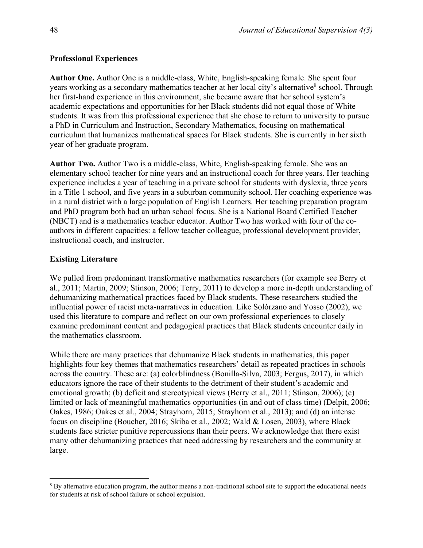#### **Professional Experiences**

**Author One.** Author One is a middle-class, White, English-speaking female. She spent four years working as a secondary mathematics teacher at her local city's alternative<sup>8</sup> school. Through her first-hand experience in this environment, she became aware that her school system's academic expectations and opportunities for her Black students did not equal those of White students. It was from this professional experience that she chose to return to university to pursue a PhD in Curriculum and Instruction, Secondary Mathematics, focusing on mathematical curriculum that humanizes mathematical spaces for Black students. She is currently in her sixth year of her graduate program.

**Author Two.** Author Two is a middle-class, White, English-speaking female. She was an elementary school teacher for nine years and an instructional coach for three years. Her teaching experience includes a year of teaching in a private school for students with dyslexia, three years in a Title 1 school, and five years in a suburban community school. Her coaching experience was in a rural district with a large population of English Learners. Her teaching preparation program and PhD program both had an urban school focus. She is a National Board Certified Teacher (NBCT) and is a mathematics teacher educator. Author Two has worked with four of the coauthors in different capacities: a fellow teacher colleague, professional development provider, instructional coach, and instructor.

#### **Existing Literature**

We pulled from predominant transformative mathematics researchers (for example see Berry et al., 2011; Martin, 2009; Stinson, 2006; Terry, 2011) to develop a more in-depth understanding of dehumanizing mathematical practices faced by Black students. These researchers studied the influential power of racist meta-narratives in education. Like Solórzano and Yosso (2002), we used this literature to compare and reflect on our own professional experiences to closely examine predominant content and pedagogical practices that Black students encounter daily in the mathematics classroom.

While there are many practices that dehumanize Black students in mathematics, this paper highlights four key themes that mathematics researchers' detail as repeated practices in schools across the country. These are: (a) colorblindness (Bonilla-Silva, 2003; Fergus, 2017), in which educators ignore the race of their students to the detriment of their student's academic and emotional growth; (b) deficit and stereotypical views (Berry et al., 2011; Stinson, 2006); (c) limited or lack of meaningful mathematics opportunities (in and out of class time) (Delpit, 2006; Oakes, 1986; Oakes et al., 2004; Strayhorn, 2015; Strayhorn et al., 2013); and (d) an intense focus on discipline (Boucher, 2016; Skiba et al., 2002; Wald & Losen, 2003), where Black students face stricter punitive repercussions than their peers. We acknowledge that there exist many other dehumanizing practices that need addressing by researchers and the community at large.

<sup>&</sup>lt;sup>8</sup> By alternative education program, the author means a non-traditional school site to support the educational needs for students at risk of school failure or school expulsion.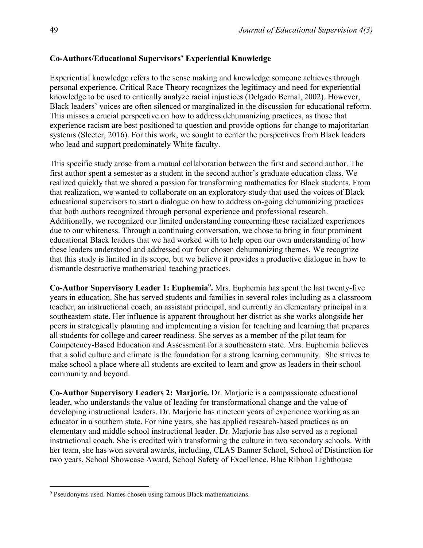#### **Co-Authors/Educational Supervisors' Experiential Knowledge**

Experiential knowledge refers to the sense making and knowledge someone achieves through personal experience. Critical Race Theory recognizes the legitimacy and need for experiential knowledge to be used to critically analyze racial injustices (Delgado Bernal, 2002). However, Black leaders' voices are often silenced or marginalized in the discussion for educational reform. This misses a crucial perspective on how to address dehumanizing practices, as those that experience racism are best positioned to question and provide options for change to majoritarian systems (Sleeter, 2016). For this work, we sought to center the perspectives from Black leaders who lead and support predominately White faculty.

This specific study arose from a mutual collaboration between the first and second author. The first author spent a semester as a student in the second author's graduate education class. We realized quickly that we shared a passion for transforming mathematics for Black students. From that realization, we wanted to collaborate on an exploratory study that used the voices of Black educational supervisors to start a dialogue on how to address on-going dehumanizing practices that both authors recognized through personal experience and professional research. Additionally, we recognized our limited understanding concerning these racialized experiences due to our whiteness. Through a continuing conversation, we chose to bring in four prominent educational Black leaders that we had worked with to help open our own understanding of how these leaders understood and addressed our four chosen dehumanizing themes. We recognize that this study is limited in its scope, but we believe it provides a productive dialogue in how to dismantle destructive mathematical teaching practices.

**Co-Author Supervisory Leader 1: Euphemia<sup>9</sup> .** Mrs. Euphemia has spent the last twenty-five years in education. She has served students and families in several roles including as a classroom teacher, an instructional coach, an assistant principal, and currently an elementary principal in a southeastern state. Her influence is apparent throughout her district as she works alongside her peers in strategically planning and implementing a vision for teaching and learning that prepares all students for college and career readiness. She serves as a member of the pilot team for Competency-Based Education and Assessment for a southeastern state. Mrs. Euphemia believes that a solid culture and climate is the foundation for a strong learning community. She strives to make school a place where all students are excited to learn and grow as leaders in their school community and beyond.

**Co-Author Supervisory Leaders 2: Marjorie.** Dr. Marjorie is a compassionate educational leader, who understands the value of leading for transformational change and the value of developing instructional leaders. Dr. Marjorie has nineteen years of experience working as an educator in a southern state. For nine years, she has applied research-based practices as an elementary and middle school instructional leader. Dr. Marjorie has also served as a regional instructional coach. She is credited with transforming the culture in two secondary schools. With her team, she has won several awards, including, CLAS Banner School, School of Distinction for two years, School Showcase Award, School Safety of Excellence, Blue Ribbon Lighthouse

<sup>9</sup> Pseudonyms used. Names chosen using famous Black mathematicians.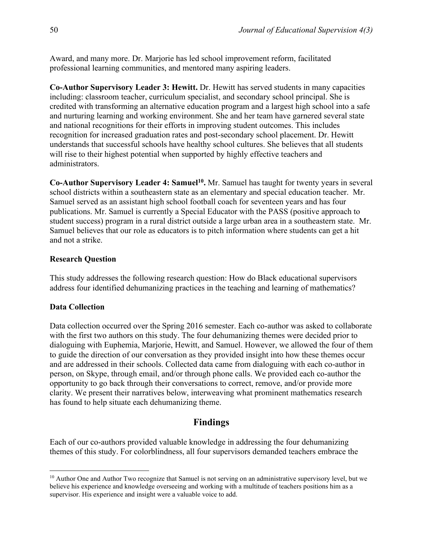Award, and many more. Dr. Marjorie has led school improvement reform, facilitated professional learning communities, and mentored many aspiring leaders.

**Co-Author Supervisory Leader 3: Hewitt.** Dr. Hewitt has served students in many capacities including: classroom teacher, curriculum specialist, and secondary school principal. She is credited with transforming an alternative education program and a largest high school into a safe and nurturing learning and working environment. She and her team have garnered several state and national recognitions for their efforts in improving student outcomes. This includes recognition for increased graduation rates and post-secondary school placement. Dr. Hewitt understands that successful schools have healthy school cultures. She believes that all students will rise to their highest potential when supported by highly effective teachers and administrators.

**Co-Author Supervisory Leader 4: Samuel<sup>10</sup> .** Mr. Samuel has taught for twenty years in several school districts within a southeastern state as an elementary and special education teacher. Mr. Samuel served as an assistant high school football coach for seventeen years and has four publications. Mr. Samuel is currently a Special Educator with the PASS (positive approach to student success) program in a rural district outside a large urban area in a southeastern state. Mr. Samuel believes that our role as educators is to pitch information where students can get a hit and not a strike.

#### **Research Question**

This study addresses the following research question: How do Black educational supervisors address four identified dehumanizing practices in the teaching and learning of mathematics?

#### **Data Collection**

Data collection occurred over the Spring 2016 semester. Each co-author was asked to collaborate with the first two authors on this study. The four dehumanizing themes were decided prior to dialoguing with Euphemia, Marjorie, Hewitt, and Samuel. However, we allowed the four of them to guide the direction of our conversation as they provided insight into how these themes occur and are addressed in their schools. Collected data came from dialoguing with each co-author in person, on Skype, through email, and/or through phone calls. We provided each co-author the opportunity to go back through their conversations to correct, remove, and/or provide more clarity. We present their narratives below, interweaving what prominent mathematics research has found to help situate each dehumanizing theme.

# **Findings**

Each of our co-authors provided valuable knowledge in addressing the four dehumanizing themes of this study. For colorblindness, all four supervisors demanded teachers embrace the

<sup>&</sup>lt;sup>10</sup> Author One and Author Two recognize that Samuel is not serving on an administrative supervisory level, but we believe his experience and knowledge overseeing and working with a multitude of teachers positions him as a supervisor. His experience and insight were a valuable voice to add.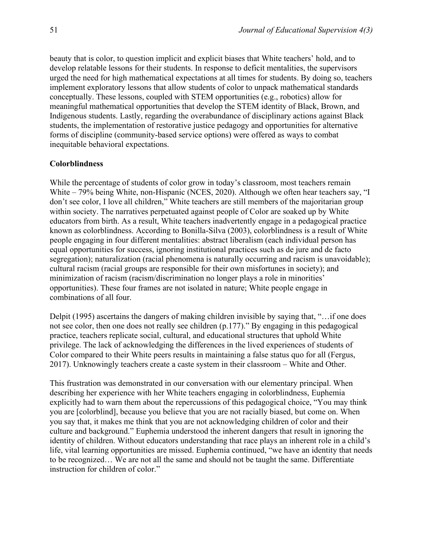beauty that is color, to question implicit and explicit biases that White teachers' hold, and to develop relatable lessons for their students. In response to deficit mentalities, the supervisors urged the need for high mathematical expectations at all times for students. By doing so, teachers implement exploratory lessons that allow students of color to unpack mathematical standards conceptually. These lessons, coupled with STEM opportunities (e.g., robotics) allow for meaningful mathematical opportunities that develop the STEM identity of Black, Brown, and Indigenous students. Lastly, regarding the overabundance of disciplinary actions against Black students, the implementation of restorative justice pedagogy and opportunities for alternative forms of discipline (community-based service options) were offered as ways to combat inequitable behavioral expectations.

#### **Colorblindness**

While the percentage of students of color grow in today's classroom, most teachers remain White – 79% being White, non-Hispanic (NCES, 2020). Although we often hear teachers say, "I don't see color, I love all children," White teachers are still members of the majoritarian group within society. The narratives perpetuated against people of Color are soaked up by White educators from birth. As a result, White teachers inadvertently engage in a pedagogical practice known as colorblindness. According to Bonilla-Silva (2003), colorblindness is a result of White people engaging in four different mentalities: abstract liberalism (each individual person has equal opportunities for success, ignoring institutional practices such as de jure and de facto segregation); naturalization (racial phenomena is naturally occurring and racism is unavoidable); cultural racism (racial groups are responsible for their own misfortunes in society); and minimization of racism (racism/discrimination no longer plays a role in minorities' opportunities). These four frames are not isolated in nature; White people engage in combinations of all four.

Delpit (1995) ascertains the dangers of making children invisible by saying that, "…if one does not see color, then one does not really see children (p.177)." By engaging in this pedagogical practice, teachers replicate social, cultural, and educational structures that uphold White privilege. The lack of acknowledging the differences in the lived experiences of students of Color compared to their White peers results in maintaining a false status quo for all (Fergus, 2017). Unknowingly teachers create a caste system in their classroom – White and Other.

This frustration was demonstrated in our conversation with our elementary principal. When describing her experience with her White teachers engaging in colorblindness, Euphemia explicitly had to warn them about the repercussions of this pedagogical choice, "You may think you are [colorblind], because you believe that you are not racially biased, but come on. When you say that, it makes me think that you are not acknowledging children of color and their culture and background." Euphemia understood the inherent dangers that result in ignoring the identity of children. Without educators understanding that race plays an inherent role in a child's life, vital learning opportunities are missed. Euphemia continued, "we have an identity that needs to be recognized… We are not all the same and should not be taught the same. Differentiate instruction for children of color."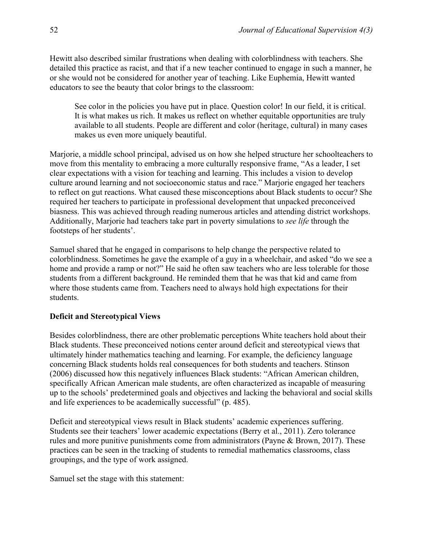Hewitt also described similar frustrations when dealing with colorblindness with teachers. She detailed this practice as racist, and that if a new teacher continued to engage in such a manner, he or she would not be considered for another year of teaching. Like Euphemia, Hewitt wanted educators to see the beauty that color brings to the classroom:

See color in the policies you have put in place. Question color! In our field, it is critical. It is what makes us rich. It makes us reflect on whether equitable opportunities are truly available to all students. People are different and color (heritage, cultural) in many cases makes us even more uniquely beautiful.

Marjorie, a middle school principal, advised us on how she helped structure her schoolteachers to move from this mentality to embracing a more culturally responsive frame, "As a leader, I set clear expectations with a vision for teaching and learning. This includes a vision to develop culture around learning and not socioeconomic status and race." Marjorie engaged her teachers to reflect on gut reactions. What caused these misconceptions about Black students to occur? She required her teachers to participate in professional development that unpacked preconceived biasness. This was achieved through reading numerous articles and attending district workshops. Additionally, Marjorie had teachers take part in poverty simulations to *see life* through the footsteps of her students'.

Samuel shared that he engaged in comparisons to help change the perspective related to colorblindness. Sometimes he gave the example of a guy in a wheelchair, and asked "do we see a home and provide a ramp or not?" He said he often saw teachers who are less tolerable for those students from a different background. He reminded them that he was that kid and came from where those students came from. Teachers need to always hold high expectations for their students.

#### **Deficit and Stereotypical Views**

Besides colorblindness, there are other problematic perceptions White teachers hold about their Black students. These preconceived notions center around deficit and stereotypical views that ultimately hinder mathematics teaching and learning. For example, the deficiency language concerning Black students holds real consequences for both students and teachers. Stinson (2006) discussed how this negatively influences Black students: "African American children, specifically African American male students, are often characterized as incapable of measuring up to the schools' predetermined goals and objectives and lacking the behavioral and social skills and life experiences to be academically successful" (p. 485).

Deficit and stereotypical views result in Black students' academic experiences suffering. Students see their teachers' lower academic expectations (Berry et al., 2011). Zero tolerance rules and more punitive punishments come from administrators (Payne & Brown, 2017). These practices can be seen in the tracking of students to remedial mathematics classrooms, class groupings, and the type of work assigned.

Samuel set the stage with this statement: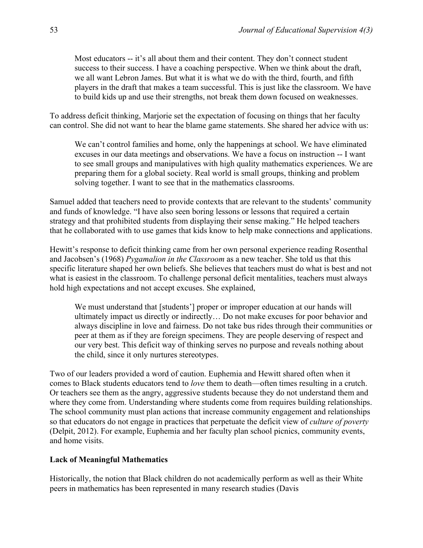Most educators -- it's all about them and their content. They don't connect student success to their success. I have a coaching perspective. When we think about the draft, we all want Lebron James. But what it is what we do with the third, fourth, and fifth players in the draft that makes a team successful. This is just like the classroom. We have to build kids up and use their strengths, not break them down focused on weaknesses.

To address deficit thinking, Marjorie set the expectation of focusing on things that her faculty can control. She did not want to hear the blame game statements. She shared her advice with us:

We can't control families and home, only the happenings at school. We have eliminated excuses in our data meetings and observations. We have a focus on instruction -- I want to see small groups and manipulatives with high quality mathematics experiences. We are preparing them for a global society. Real world is small groups, thinking and problem solving together. I want to see that in the mathematics classrooms.

Samuel added that teachers need to provide contexts that are relevant to the students' community and funds of knowledge. "I have also seen boring lessons or lessons that required a certain strategy and that prohibited students from displaying their sense making." He helped teachers that he collaborated with to use games that kids know to help make connections and applications.

Hewitt's response to deficit thinking came from her own personal experience reading Rosenthal and Jacobsen's (1968) *Pygamalion in the Classroom* as a new teacher. She told us that this specific literature shaped her own beliefs. She believes that teachers must do what is best and not what is easiest in the classroom. To challenge personal deficit mentalities, teachers must always hold high expectations and not accept excuses. She explained,

We must understand that [students'] proper or improper education at our hands will ultimately impact us directly or indirectly… Do not make excuses for poor behavior and always discipline in love and fairness. Do not take bus rides through their communities or peer at them as if they are foreign specimens. They are people deserving of respect and our very best. This deficit way of thinking serves no purpose and reveals nothing about the child, since it only nurtures stereotypes.

Two of our leaders provided a word of caution. Euphemia and Hewitt shared often when it comes to Black students educators tend to *love* them to death—often times resulting in a crutch. Or teachers see them as the angry, aggressive students because they do not understand them and where they come from. Understanding where students come from requires building relationships. The school community must plan actions that increase community engagement and relationships so that educators do not engage in practices that perpetuate the deficit view of *culture of poverty*  (Delpit, 2012). For example, Euphemia and her faculty plan school picnics, community events, and home visits.

#### **Lack of Meaningful Mathematics**

Historically, the notion that Black children do not academically perform as well as their White peers in mathematics has been represented in many research studies (Davis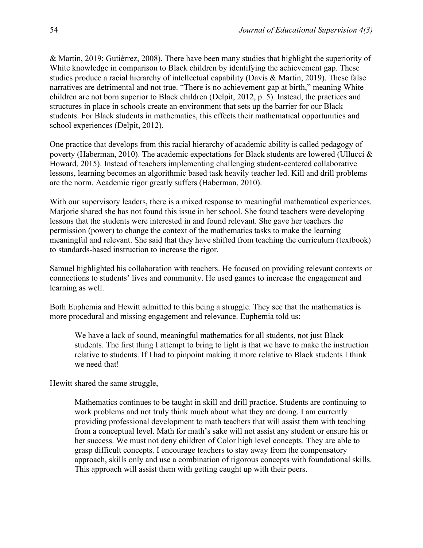& Martin, 2019; Gutiérrez, 2008). There have been many studies that highlight the superiority of White knowledge in comparison to Black children by identifying the achievement gap. These studies produce a racial hierarchy of intellectual capability (Davis & Martin, 2019). These false narratives are detrimental and not true. "There is no achievement gap at birth," meaning White children are not born superior to Black children (Delpit, 2012, p. 5). Instead, the practices and structures in place in schools create an environment that sets up the barrier for our Black students. For Black students in mathematics, this effects their mathematical opportunities and school experiences (Delpit, 2012).

One practice that develops from this racial hierarchy of academic ability is called pedagogy of poverty (Haberman, 2010). The academic expectations for Black students are lowered (Ullucci & Howard, 2015). Instead of teachers implementing challenging student-centered collaborative lessons, learning becomes an algorithmic based task heavily teacher led. Kill and drill problems are the norm. Academic rigor greatly suffers (Haberman, 2010).

With our supervisory leaders, there is a mixed response to meaningful mathematical experiences. Marjorie shared she has not found this issue in her school. She found teachers were developing lessons that the students were interested in and found relevant. She gave her teachers the permission (power) to change the context of the mathematics tasks to make the learning meaningful and relevant. She said that they have shifted from teaching the curriculum (textbook) to standards-based instruction to increase the rigor.

Samuel highlighted his collaboration with teachers. He focused on providing relevant contexts or connections to students' lives and community. He used games to increase the engagement and learning as well.

Both Euphemia and Hewitt admitted to this being a struggle. They see that the mathematics is more procedural and missing engagement and relevance. Euphemia told us:

We have a lack of sound, meaningful mathematics for all students, not just Black students. The first thing I attempt to bring to light is that we have to make the instruction relative to students. If I had to pinpoint making it more relative to Black students I think we need that!

Hewitt shared the same struggle,

Mathematics continues to be taught in skill and drill practice. Students are continuing to work problems and not truly think much about what they are doing. I am currently providing professional development to math teachers that will assist them with teaching from a conceptual level. Math for math's sake will not assist any student or ensure his or her success. We must not deny children of Color high level concepts. They are able to grasp difficult concepts. I encourage teachers to stay away from the compensatory approach, skills only and use a combination of rigorous concepts with foundational skills. This approach will assist them with getting caught up with their peers.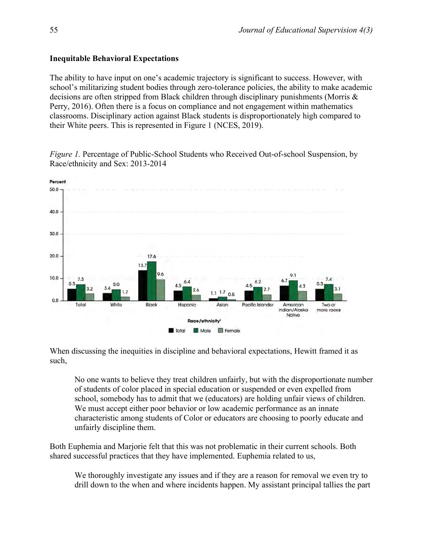#### **Inequitable Behavioral Expectations**

The ability to have input on one's academic trajectory is significant to success. However, with school's militarizing student bodies through zero-tolerance policies, the ability to make academic decisions are often stripped from Black children through disciplinary punishments (Morris & Perry, 2016). Often there is a focus on compliance and not engagement within mathematics classrooms. Disciplinary action against Black students is disproportionately high compared to their White peers. This is represented in Figure 1 (NCES, 2019).

*Figure 1.* Percentage of Public-School Students who Received Out-of-school Suspension, by Race/ethnicity and Sex: 2013-2014



When discussing the inequities in discipline and behavioral expectations, Hewitt framed it as such,

No one wants to believe they treat children unfairly, but with the disproportionate number of students of color placed in special education or suspended or even expelled from school, somebody has to admit that we (educators) are holding unfair views of children. We must accept either poor behavior or low academic performance as an innate characteristic among students of Color or educators are choosing to poorly educate and unfairly discipline them.

Both Euphemia and Marjorie felt that this was not problematic in their current schools. Both shared successful practices that they have implemented. Euphemia related to us,

We thoroughly investigate any issues and if they are a reason for removal we even try to drill down to the when and where incidents happen. My assistant principal tallies the part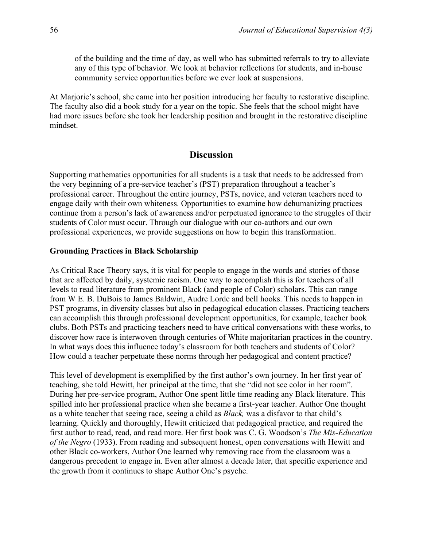of the building and the time of day, as well who has submitted referrals to try to alleviate any of this type of behavior. We look at behavior reflections for students, and in-house community service opportunities before we ever look at suspensions.

At Marjorie's school, she came into her position introducing her faculty to restorative discipline. The faculty also did a book study for a year on the topic. She feels that the school might have had more issues before she took her leadership position and brought in the restorative discipline mindset.

## **Discussion**

Supporting mathematics opportunities for all students is a task that needs to be addressed from the very beginning of a pre-service teacher's (PST) preparation throughout a teacher's professional career. Throughout the entire journey, PSTs, novice, and veteran teachers need to engage daily with their own whiteness. Opportunities to examine how dehumanizing practices continue from a person's lack of awareness and/or perpetuated ignorance to the struggles of their students of Color must occur. Through our dialogue with our co-authors and our own professional experiences, we provide suggestions on how to begin this transformation.

#### **Grounding Practices in Black Scholarship**

As Critical Race Theory says, it is vital for people to engage in the words and stories of those that are affected by daily, systemic racism. One way to accomplish this is for teachers of all levels to read literature from prominent Black (and people of Color) scholars. This can range from W E. B. DuBois to James Baldwin, Audre Lorde and bell hooks. This needs to happen in PST programs, in diversity classes but also in pedagogical education classes. Practicing teachers can accomplish this through professional development opportunities, for example, teacher book clubs. Both PSTs and practicing teachers need to have critical conversations with these works, to discover how race is interwoven through centuries of White majoritarian practices in the country. In what ways does this influence today's classroom for both teachers and students of Color? How could a teacher perpetuate these norms through her pedagogical and content practice?

This level of development is exemplified by the first author's own journey. In her first year of teaching, she told Hewitt, her principal at the time, that she "did not see color in her room". During her pre-service program, Author One spent little time reading any Black literature. This spilled into her professional practice when she became a first-year teacher. Author One thought as a white teacher that seeing race, seeing a child as *Black,* was a disfavor to that child's learning. Quickly and thoroughly, Hewitt criticized that pedagogical practice, and required the first author to read, read, and read more. Her first book was C. G. Woodson's *The Mis-Education of the Negro* (1933). From reading and subsequent honest, open conversations with Hewitt and other Black co-workers, Author One learned why removing race from the classroom was a dangerous precedent to engage in. Even after almost a decade later, that specific experience and the growth from it continues to shape Author One's psyche.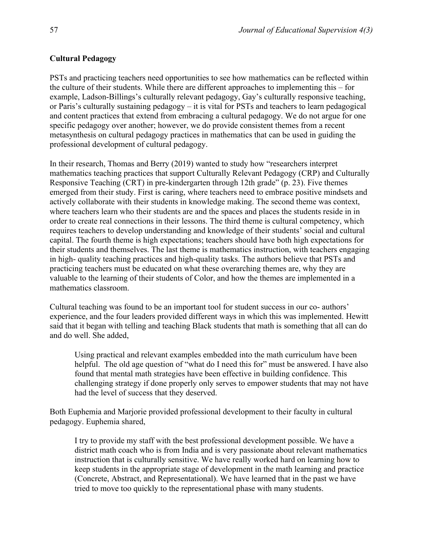#### **Cultural Pedagogy**

PSTs and practicing teachers need opportunities to see how mathematics can be reflected within the culture of their students. While there are different approaches to implementing this – for example, Ladson-Billings's culturally relevant pedagogy, Gay's culturally responsive teaching, or Paris's culturally sustaining pedagogy – it is vital for PSTs and teachers to learn pedagogical and content practices that extend from embracing a cultural pedagogy. We do not argue for one specific pedagogy over another; however, we do provide consistent themes from a recent metasynthesis on cultural pedagogy practices in mathematics that can be used in guiding the professional development of cultural pedagogy.

In their research, Thomas and Berry (2019) wanted to study how "researchers interpret mathematics teaching practices that support Culturally Relevant Pedagogy (CRP) and Culturally Responsive Teaching (CRT) in pre-kindergarten through 12th grade" (p. 23). Five themes emerged from their study. First is caring, where teachers need to embrace positive mindsets and actively collaborate with their students in knowledge making. The second theme was context, where teachers learn who their students are and the spaces and places the students reside in in order to create real connections in their lessons. The third theme is cultural competency, which requires teachers to develop understanding and knowledge of their students' social and cultural capital. The fourth theme is high expectations; teachers should have both high expectations for their students and themselves. The last theme is mathematics instruction, with teachers engaging in high- quality teaching practices and high-quality tasks. The authors believe that PSTs and practicing teachers must be educated on what these overarching themes are, why they are valuable to the learning of their students of Color, and how the themes are implemented in a mathematics classroom.

Cultural teaching was found to be an important tool for student success in our co- authors' experience, and the four leaders provided different ways in which this was implemented. Hewitt said that it began with telling and teaching Black students that math is something that all can do and do well. She added,

Using practical and relevant examples embedded into the math curriculum have been helpful. The old age question of "what do I need this for" must be answered. I have also found that mental math strategies have been effective in building confidence. This challenging strategy if done properly only serves to empower students that may not have had the level of success that they deserved.

Both Euphemia and Marjorie provided professional development to their faculty in cultural pedagogy. Euphemia shared,

I try to provide my staff with the best professional development possible. We have a district math coach who is from India and is very passionate about relevant mathematics instruction that is culturally sensitive. We have really worked hard on learning how to keep students in the appropriate stage of development in the math learning and practice (Concrete, Abstract, and Representational). We have learned that in the past we have tried to move too quickly to the representational phase with many students.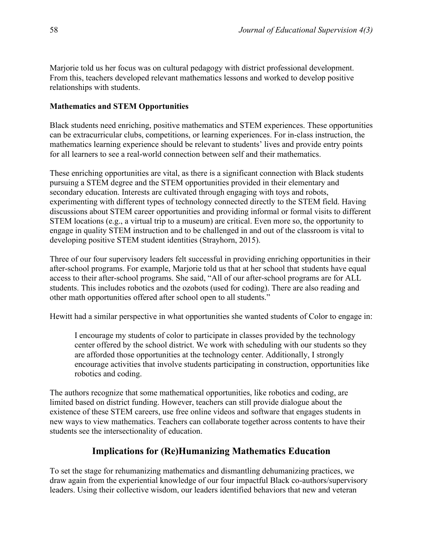Marjorie told us her focus was on cultural pedagogy with district professional development. From this, teachers developed relevant mathematics lessons and worked to develop positive relationships with students.

#### **Mathematics and STEM Opportunities**

Black students need enriching, positive mathematics and STEM experiences. These opportunities can be extracurricular clubs, competitions, or learning experiences. For in-class instruction, the mathematics learning experience should be relevant to students' lives and provide entry points for all learners to see a real-world connection between self and their mathematics.

These enriching opportunities are vital, as there is a significant connection with Black students pursuing a STEM degree and the STEM opportunities provided in their elementary and secondary education. Interests are cultivated through engaging with toys and robots, experimenting with different types of technology connected directly to the STEM field. Having discussions about STEM career opportunities and providing informal or formal visits to different STEM locations (e.g., a virtual trip to a museum) are critical. Even more so, the opportunity to engage in quality STEM instruction and to be challenged in and out of the classroom is vital to developing positive STEM student identities (Strayhorn, 2015).

Three of our four supervisory leaders felt successful in providing enriching opportunities in their after-school programs. For example, Marjorie told us that at her school that students have equal access to their after-school programs. She said, "All of our after-school programs are for ALL students. This includes robotics and the ozobots (used for coding). There are also reading and other math opportunities offered after school open to all students."

Hewitt had a similar perspective in what opportunities she wanted students of Color to engage in:

I encourage my students of color to participate in classes provided by the technology center offered by the school district. We work with scheduling with our students so they are afforded those opportunities at the technology center. Additionally, I strongly encourage activities that involve students participating in construction, opportunities like robotics and coding.

The authors recognize that some mathematical opportunities, like robotics and coding, are limited based on district funding. However, teachers can still provide dialogue about the existence of these STEM careers, use free online videos and software that engages students in new ways to view mathematics. Teachers can collaborate together across contents to have their students see the intersectionality of education.

## **Implications for (Re)Humanizing Mathematics Education**

To set the stage for rehumanizing mathematics and dismantling dehumanizing practices, we draw again from the experiential knowledge of our four impactful Black co-authors/supervisory leaders. Using their collective wisdom, our leaders identified behaviors that new and veteran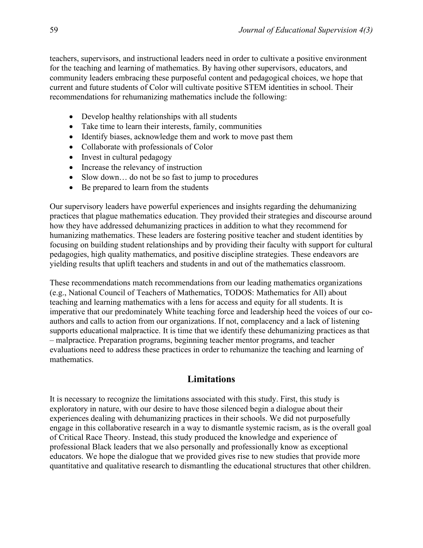teachers, supervisors, and instructional leaders need in order to cultivate a positive environment for the teaching and learning of mathematics. By having other supervisors, educators, and community leaders embracing these purposeful content and pedagogical choices, we hope that current and future students of Color will cultivate positive STEM identities in school. Their recommendations for rehumanizing mathematics include the following:

- Develop healthy relationships with all students
- Take time to learn their interests, family, communities
- Identify biases, acknowledge them and work to move past them
- Collaborate with professionals of Color
- Invest in cultural pedagogy
- Increase the relevancy of instruction
- Slow down... do not be so fast to jump to procedures
- Be prepared to learn from the students

Our supervisory leaders have powerful experiences and insights regarding the dehumanizing practices that plague mathematics education. They provided their strategies and discourse around how they have addressed dehumanizing practices in addition to what they recommend for humanizing mathematics. These leaders are fostering positive teacher and student identities by focusing on building student relationships and by providing their faculty with support for cultural pedagogies, high quality mathematics, and positive discipline strategies. These endeavors are yielding results that uplift teachers and students in and out of the mathematics classroom.

These recommendations match recommendations from our leading mathematics organizations (e.g., National Council of Teachers of Mathematics, TODOS: Mathematics for All) about teaching and learning mathematics with a lens for access and equity for all students. It is imperative that our predominately White teaching force and leadership heed the voices of our coauthors and calls to action from our organizations. If not, complacency and a lack of listening supports educational malpractice. It is time that we identify these dehumanizing practices as that – malpractice. Preparation programs, beginning teacher mentor programs, and teacher evaluations need to address these practices in order to rehumanize the teaching and learning of mathematics.

# **Limitations**

It is necessary to recognize the limitations associated with this study. First, this study is exploratory in nature, with our desire to have those silenced begin a dialogue about their experiences dealing with dehumanizing practices in their schools. We did not purposefully engage in this collaborative research in a way to dismantle systemic racism, as is the overall goal of Critical Race Theory. Instead, this study produced the knowledge and experience of professional Black leaders that we also personally and professionally know as exceptional educators. We hope the dialogue that we provided gives rise to new studies that provide more quantitative and qualitative research to dismantling the educational structures that other children.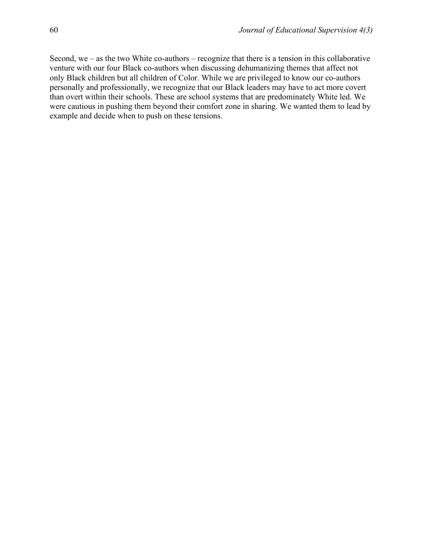Second, we – as the two White co-authors – recognize that there is a tension in this collaborative venture with our four Black co-authors when discussing dehumanizing themes that affect not only Black children but all children of Color. While we are privileged to know our co-authors personally and professionally, we recognize that our Black leaders may have to act more covert than overt within their schools. These are school systems that are predominately White led. We were cautious in pushing them beyond their comfort zone in sharing. We wanted them to lead by example and decide when to push on these tensions.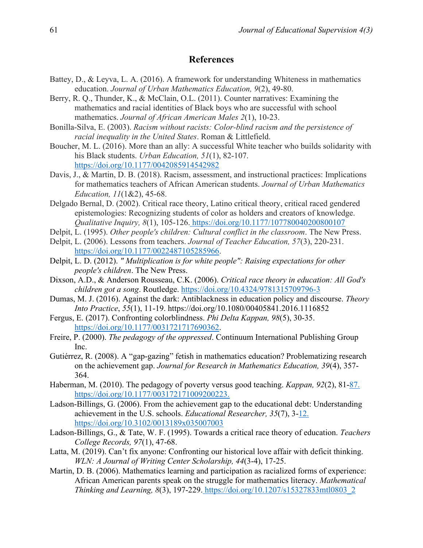#### **References**

- Battey, D., & Leyva, L. A. (2016). A framework for understanding Whiteness in mathematics education. *Journal of Urban Mathematics Education, 9*(2), 49-80.
- Berry, R. Q., Thunder, K., & McClain, O.L. (2011). Counter narratives: Examining the mathematics and racial identities of Black boys who are successful with school mathematics. *Journal of African American Males 2*(1), 10-23.
- Bonilla-Silva, E. (2003). *Racism without racists: Color-blind racism and the persistence of racial inequality in the United States*. Roman & Littlefield.
- Boucher, M. L. (2016). More than an ally: A successful White teacher who builds solidarity with his Black students. *Urban Education, 51*(1), 82-107[.](https://doi.org/10.1177/0042085914542982) <https://doi.org/10.1177/0042085914542982>
- Davis, J., & Martin, D. B. (2018). Racism, assessment, and instructional practices: Implications for mathematics teachers of African American students. *Journal of Urban Mathematics Education, 11*(1&2), 45-68.
- Delgado Bernal, D. (2002). Critical race theory, Latino critical theory, critical raced gendered epistemologies: Recognizing students of color as holders and creators of knowledge. *Qualitative Inquiry, 8*(1), 105-126. [https://doi.org/10.1177/107780040200800107](https://doi.org/10.1177/107780040200800107%C3%82%C2%A0)
- Delpit, L. (1995). *Other people's children: Cultural conflict in the classroom*. The New Press.
- Delpit, L. (2006). Lessons from teachers. *Journal of Teacher Education, 57*(3), 220-231[.](https://doi.org/10.1177/0022487105285966) [https://doi.org/10.1177/0022487105285966.](https://doi.org/10.1177/0022487105285966)
- Delpit, L. D. (2012). *" Multiplication is for white people": Raising expectations for other people's children*. The New Press.
- Dixson, A.D., & Anderson Rousseau, C.K. (2006). *Critical race theory in education: All God's children got a song*. Routledge. <https://doi.org/10.4324/9781315709796-3>
- Dumas, M. J. (2016). Against the dark: Antiblackness in education policy and discourse. *Theory Into Practice*, *55*(1), 11-19. https://doi.org/10.1080/00405841.2016.1116852
- Fergus, E. (2017). Confronting colorblindness. *Phi Delta Kappan, 98*(5), 30-35[.](https://doi.org/10.1177/0031721717690362) [https://doi.org/10.1177/0031721717690362.](https://doi.org/10.1177/0031721717690362)
- Freire, P. (2000). *The pedagogy of the oppressed*. Continuum International Publishing Group Inc.
- Gutiérrez, R. (2008). A "gap-gazing" fetish in mathematics education? Problematizing research on the achievement gap. *Journal for Research in Mathematics Education, 39*(4), 357- 364.
- Haberman, M. (2010). The pedagogy of poverty versus good teaching. *Kappan, 92*(2), 81[-87.](https://doi.org/10.1177/003172171009200223.%C3%82%C2%A0)  [https://doi.org/10.1177/003172171009200223.](https://doi.org/10.1177/003172171009200223.%C3%82%C2%A0)
- Ladson-Billings, G. (2006). From the achievement gap to the educational debt: Understanding achievement in the U.S. schools. *Educational Researcher, 35*(7), 3[-12.](https://doi.org/10.3102/0013189x035007003)  <https://doi.org/10.3102/0013189x035007003>
- Ladson-Billings, G., & Tate, W. F. (1995). Towards a critical race theory of education. *Teachers College Records, 97*(1), 47-68.
- Latta, M. (2019). Can't fix anyone: Confronting our historical love affair with deficit thinking. *WLN: A Journal of Writing Center Scholarship, 44*(3-4), 17-25.
- Martin, D. B. (2006). Mathematics learning and participation as racialized forms of experience: African American parents speak on the struggle for mathematics literacy. *Mathematical Thinking and Learning, 8*(3), 197-229. [https://doi.org/10.1207/s15327833mtl0803\\_2](https://doi.org/10.1207/s15327833mtl0803_2%C3%82%C2%A0)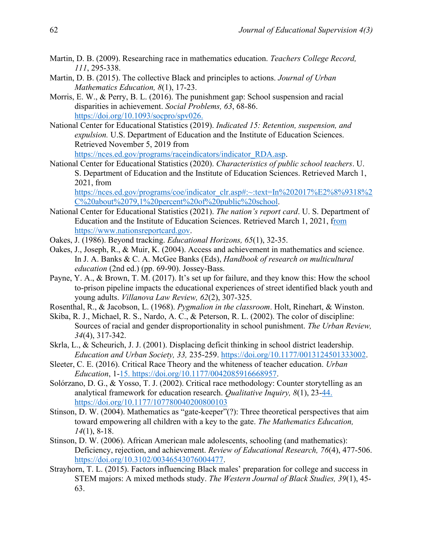- Martin, D. B. (2009). Researching race in mathematics education. *Teachers College Record, 111*, 295-338.
- Martin, D. B. (2015). The collective Black and principles to actions. *Journal of Urban Mathematics Education, 8*(1), 17-23.
- Morris, E. W., & Perry, B. L. (2016). The punishment gap: Sc[hool suspension and racial](https://doi.org/10.1093/socpro/spv026.%C3%82%C2%A0)  disparities in achievement. *Social Problems, 63*, 68-86. [https://doi.org/10.1093/socpro/spv026.](https://doi.org/10.1093/socpro/spv026.%C3%82%C2%A0)
- National Center for Educational Statistics (2019). *Indicated 15: Retention, suspension, and expulsion.* U.S. Department of Education and the Institute of Education Sciences. Retrieved November 5, 2019 fro[m](https://nces.ed.gov/programs/raceindicators/indicator_RDA.asp) [https://nces.ed.gov/programs/raceindicators/indicator\\_RDA.asp.](https://nces.ed.gov/programs/raceindicators/indicator_RDA.asp)
- National Center for Educational Statistics (2020). *Characteristics of public school teachers*. U. S. Department of Education and the Institute of Education Sciences. Retrieved March 1, 2021, from [https://nces.ed.gov/programs/coe/indicator\\_clr.asp#:~:text=In%202017%E2%8%9318%2](https://nces.ed.gov/programs/coe/indicator_clr.asp#:~:text=In%202017%E2%8%9318%2C%20about%2079,1%20percent%20of%20public%20school)

[C%20about%2079,1%20percent%20of%20public%20school.](https://nces.ed.gov/programs/coe/indicator_clr.asp#:~:text=In%202017%E2%8%9318%2C%20about%2079,1%20percent%20of%20public%20school)

- National Center for Educational Statistics (2021). *The nation's report card*. U. S. Department of Education and the Institute of Education Sciences. Retrieved March 1, 2021, [from](https://www.nationsreportcard.gov/focus_on_naep/%23/)  [https://www.nationsreportcard.gov.](https://www.nationsreportcard.gov/focus_on_naep/%23/)
- Oakes, J. (1986). Beyond tracking. *Educational Horizons, 65*(1), 32-35.
- Oakes, J., Joseph, R., & Muir, K. (2004). Access and achievement in mathematics and science. In J. A. Banks & C. A. McGee Banks (Eds), *Handbook of research on multicultural education* (2nd ed.) (pp. 69-90). Jossey-Bass.
- Payne, Y. A., & Brown, T. M. (2017). It's set up for failure, and they know this: How the school to-prison pipeline impacts the educational experiences of street identified black youth and young adults. *Villanova Law Review, 62*(2), 307-325.
- Rosenthal, R., & Jacobson, L. (1968). *Pygmalion in the classroom*. Holt, Rinehart, & Winston.
- Skiba, R. J., Michael, R. S., Nardo, A. C., & Peterson, R. L. (2002). The color of discipline: Sources of racial and gender disproportionality in school punishment. *The Urban Review, 34*(4), 317-342.
- Skrla, L., & Scheurich, J. J. (2001). Displacing deficit thinking in school district leadership. *Education and Urban Society, 33,* 235-259. [https://doi.org/10.1177/0013124501333002.](https://doi.org/10.1177/0013124501333002)
- Sleeter, C. E. (2016). Critical Race Theory and the whiteness of teacher education. *Urban Education*, 1[-15. https://doi.org/10.1177/0042085916668957.](https://doi.org/10.1177/0042085916668957)
- Solórzano, D. G., & Yosso, T. J. (2002). Critical race methodology: Counter storytelling as an analytical framework for education research. *Qualitative Inquiry, 8*(1), 23[-44.](https://doi.org/10.1177/107780040200800103)  <https://doi.org/10.1177/107780040200800103>
- Stinson, D. W. (2004). Mathematics as "gate-keeper"(?): Three theoretical perspectives that aim toward empowering all children with a key to the gate. *The Mathematics Education, 14*(1), 8-18.
- Stinson, D. W. (2006). African American male adolescents, schooling (and mathematics): Deficiency, rejection, and achievement. *Review of Educational Research, 76*(4), 477-506. [https://doi.org/10.3102/00346543076004477.](https://doi.org/10.3102/00346543076004477)
- Strayhorn, T. L. (2015). Factors influencing Black males' preparation for college and success in STEM majors: A mixed methods study. *The Western Journal of Black Studies, 39*(1), 45- 63.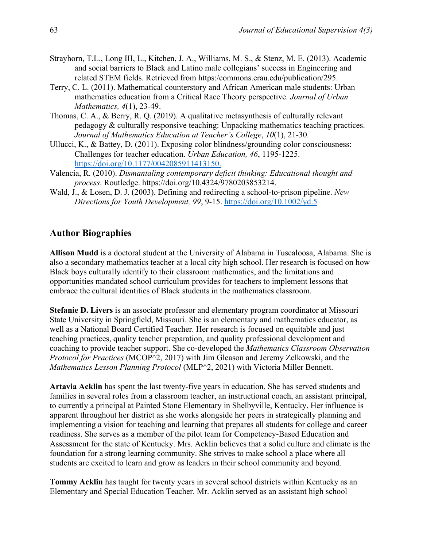- Strayhorn, T.L., Long III, L., Kitchen, J. A., Williams, M. S., & Stenz, M. E. (2013). Academic and social barriers to Black and Latino male collegians' success in Engineering and related STEM fields. Retrieved from https:/commons.erau.edu/publication/295.
- Terry, C. L. (2011). Mathematical counterstory and African American male students: Urban mathematics education from a Critical Race Theory perspective. *Journal of Urban Mathematics, 4*(1), 23-49.
- Thomas, C. A., & Berry, R. Q. (2019). A qualitative metasynthesis of culturally relevant pedagogy & culturally responsive teaching: Unpacking mathematics teaching practices. *Journal of Mathematics Education at Teacher's College*, *10*(1), 21-30.
- Ullucci, K., & Battey, D. (2011). Exposing color blindness/grounding colo[r consciousness:](https://doi.org/10.1177/0042085911413150.)  Challenges for teacher education. *Urban Education, 46*, 1195-1225. <https://doi.org/10.1177/0042085911413150.>
- Valencia, R. (2010). *Dismantaling contemporary deficit thinking: Educational thought and process*. Routledge. https://doi.org/10.4324/9780203853214.
- Wald, J., & Losen, D. J. (2003). Defining and redirecting a school-to-prison pipeline. *New Directions for Youth Development, 99*, 9-15.<https://doi.org/10.1002/yd.5>

#### **Author Biographies**

**Allison Mudd** is a doctoral student at the University of Alabama in Tuscaloosa, Alabama. She is also a secondary mathematics teacher at a local city high school. Her research is focused on how Black boys culturally identify to their classroom mathematics, and the limitations and opportunities mandated school curriculum provides for teachers to implement lessons that embrace the cultural identities of Black students in the mathematics classroom.

**Stefanie D. Livers** is an associate professor and elementary program coordinator at Missouri State University in Springfield, Missouri. She is an elementary and mathematics educator, as well as a National Board Certified Teacher. Her research is focused on equitable and just teaching practices, quality teacher preparation, and quality professional development and coaching to provide teacher support. She co-developed the *Mathematics Classroom Observation Protocol for Practices* (MCOP^2, 2017) with Jim Gleason and Jeremy Zelkowski, and the *Mathematics Lesson Planning Protocol* (MLP^2, 2021) with Victoria Miller Bennett.

**Artavia Acklin** has spent the last twenty-five years in education. She has served students and families in several roles from a classroom teacher, an instructional coach, an assistant principal, to currently a principal at Painted Stone Elementary in Shelbyville, Kentucky. Her influence is apparent throughout her district as she works alongside her peers in strategically planning and implementing a vision for teaching and learning that prepares all students for college and career readiness. She serves as a member of the pilot team for Competency-Based Education and Assessment for the state of Kentucky. Mrs. Acklin believes that a solid culture and climate is the foundation for a strong learning community. She strives to make school a place where all students are excited to learn and grow as leaders in their school community and beyond.

**Tommy Acklin** has taught for twenty years in several school districts within Kentucky as an Elementary and Special Education Teacher. Mr. Acklin served as an assistant high school